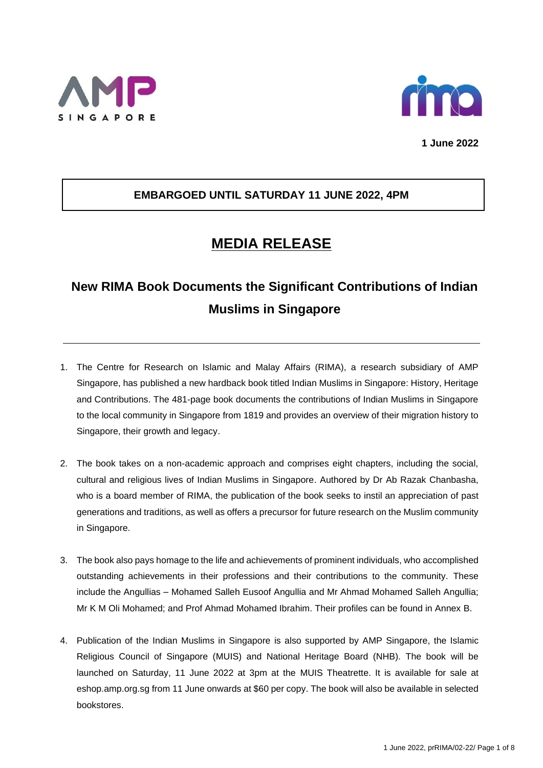



**1 June 2022**

## **EMBARGOED UNTIL SATURDAY 11 JUNE 2022, 4PM**

## **MEDIA RELEASE**

# **New RIMA Book Documents the Significant Contributions of Indian Muslims in Singapore**

- 1. The Centre for Research on Islamic and Malay Affairs (RIMA), a research subsidiary of AMP Singapore, has published a new hardback book titled *Indian Muslims in Singapore: History, Heritage and Contributions*. The 481-page book documents the contributions of Indian Muslims in Singapore to the local community in Singapore from 1819 and provides an overview of their migration history to Singapore, their growth and legacy.
- 2. The book takes on a non-academic approach and comprises eight chapters, including the social, cultural and religious lives of Indian Muslims in Singapore. Authored by Dr Ab Razak Chanbasha, who is a board member of RIMA, the publication of the book seeks to instil an appreciation of past generations and traditions, as well as offers a precursor for future research on the Muslim community in Singapore.
- 3. The book also pays homage to the life and achievements of prominent individuals, who accomplished outstanding achievements in their professions and their contributions to the community. These include the Angullias – Mohamed Salleh Eusoof Angullia and Mr Ahmad Mohamed Salleh Angullia; Mr K M Oli Mohamed; and Prof Ahmad Mohamed Ibrahim. Their profiles can be found in Annex B.
- 4. Publication of the *Indian Muslims in Singapore* is also supported by AMP Singapore, the Islamic Religious Council of Singapore (MUIS) and National Heritage Board (NHB). The book will be launched on Saturday, 11 June 2022 at 3pm at the MUIS Theatrette. It is available for sale at eshop.amp.org.sg from 11 June onwards at \$60 per copy. The book will also be available in selected bookstores.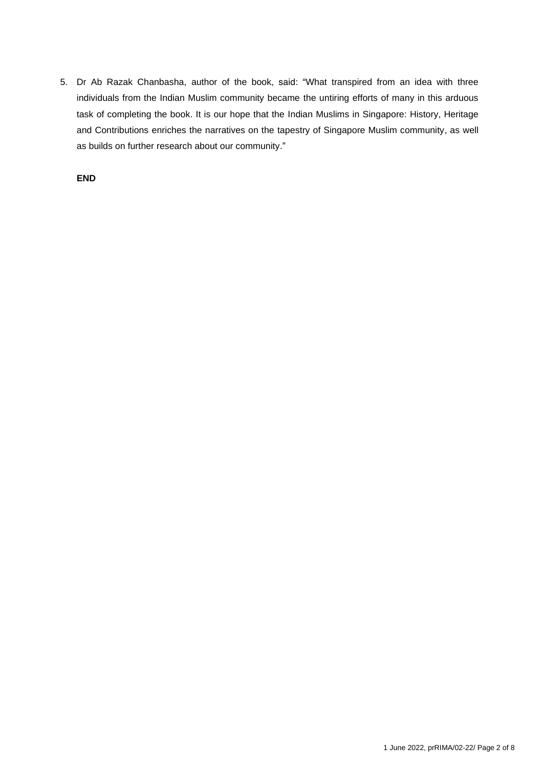5. Dr Ab Razak Chanbasha, author of the book, said: "What transpired from an idea with three individuals from the Indian Muslim community became the untiring efforts of many in this arduous task of completing the book. It is our hope that the *Indian Muslims in Singapore: History, Heritage and Contributions* enriches the narratives on the tapestry of Singapore Muslim community, as well as builds on further research about our community."

**END**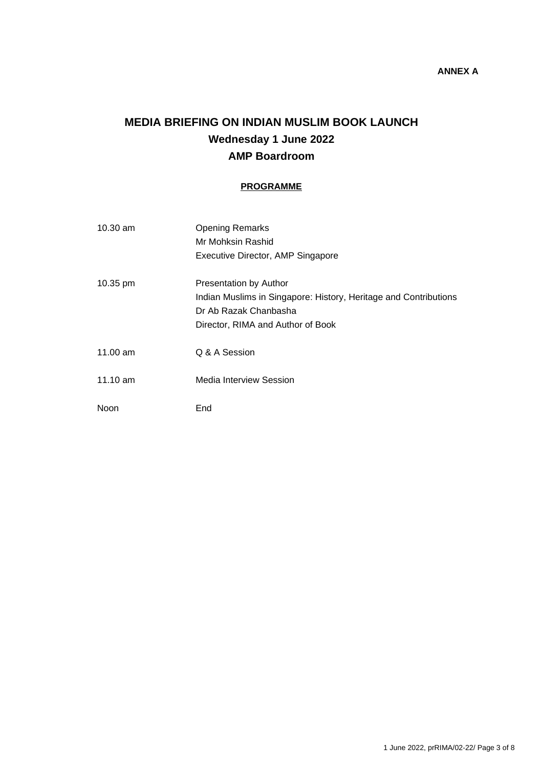## **MEDIA BRIEFING ON INDIAN MUSLIM BOOK LAUNCH Wednesday 1 June 2022 AMP Boardroom**

#### **PROGRAMME**

| $10.30$ am            | <b>Opening Remarks</b>                                           |
|-----------------------|------------------------------------------------------------------|
|                       | Mr Mohksin Rashid                                                |
|                       | Executive Director, AMP Singapore                                |
| $10.35 \,\mathrm{pm}$ | Presentation by Author                                           |
|                       | Indian Muslims in Singapore: History, Heritage and Contributions |
|                       | Dr Ab Razak Chanbasha                                            |
|                       | Director, RIMA and Author of Book                                |
| 11.00 am              | Q & A Session                                                    |
| $11.10 \text{ am}$    | Media Interview Session                                          |
| Noon                  | End                                                              |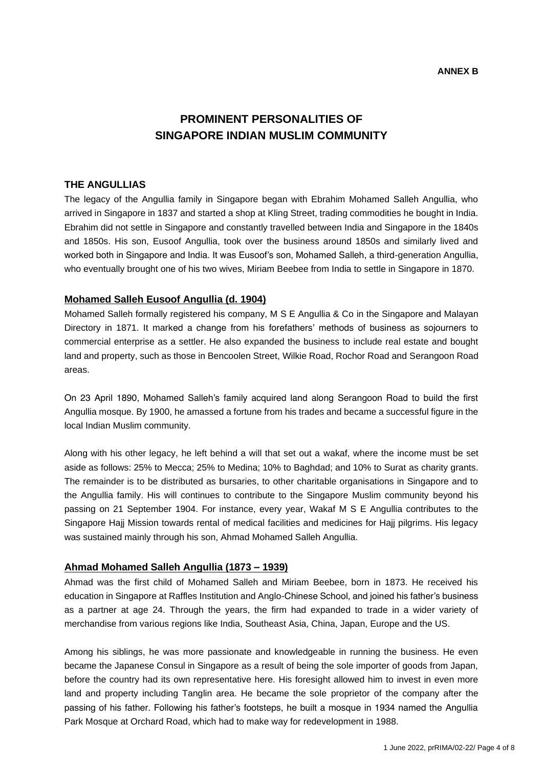## **PROMINENT PERSONALITIES OF SINGAPORE INDIAN MUSLIM COMMUNITY**

#### **THE ANGULLIAS**

The legacy of the Angullia family in Singapore began with Ebrahim Mohamed Salleh Angullia, who arrived in Singapore in 1837 and started a shop at Kling Street, trading commodities he bought in India. Ebrahim did not settle in Singapore and constantly travelled between India and Singapore in the 1840s and 1850s. His son, Eusoof Angullia, took over the business around 1850s and similarly lived and worked both in Singapore and India. It was Eusoof's son, Mohamed Salleh, a third-generation Angullia, who eventually brought one of his two wives, Miriam Beebee from India to settle in Singapore in 1870.

#### **Mohamed Salleh Eusoof Angullia (d. 1904)**

Mohamed Salleh formally registered his company, M S E Angullia & Co in the Singapore and Malayan Directory in 1871. It marked a change from his forefathers' methods of business as sojourners to commercial enterprise as a settler. He also expanded the business to include real estate and bought land and property, such as those in Bencoolen Street, Wilkie Road, Rochor Road and Serangoon Road areas.

On 23 April 1890, Mohamed Salleh's family acquired land along Serangoon Road to build the first Angullia mosque. By 1900, he amassed a fortune from his trades and became a successful figure in the local Indian Muslim community.

Along with his other legacy, he left behind a will that set out a *wakaf*, where the income must be set aside as follows: 25% to Mecca; 25% to Medina; 10% to Baghdad; and 10% to Surat as charity grants. The remainder is to be distributed as bursaries, to other charitable organisations in Singapore and to the Angullia family. His will continues to contribute to the Singapore Muslim community beyond his passing on 21 September 1904. For instance, every year, Wakaf M S E Angullia contributes to the Singapore Hajj Mission towards rental of medical facilities and medicines for Hajj pilgrims. His legacy was sustained mainly through his son, Ahmad Mohamed Salleh Angullia.

#### **Ahmad Mohamed Salleh Angullia (1873 – 1939)**

Ahmad was the first child of Mohamed Salleh and Miriam Beebee, born in 1873. He received his education in Singapore at Raffles Institution and Anglo-Chinese School, and joined his father's business as a partner at age 24. Through the years, the firm had expanded to trade in a wider variety of merchandise from various regions like India, Southeast Asia, China, Japan, Europe and the US.

Among his siblings, he was more passionate and knowledgeable in running the business. He even became the Japanese Consul in Singapore as a result of being the sole importer of goods from Japan, before the country had its own representative here. His foresight allowed him to invest in even more land and property including Tanglin area. He became the sole proprietor of the company after the passing of his father. Following his father's footsteps, he built a mosque in 1934 named the Angullia Park Mosque at Orchard Road, which had to make way for redevelopment in 1988.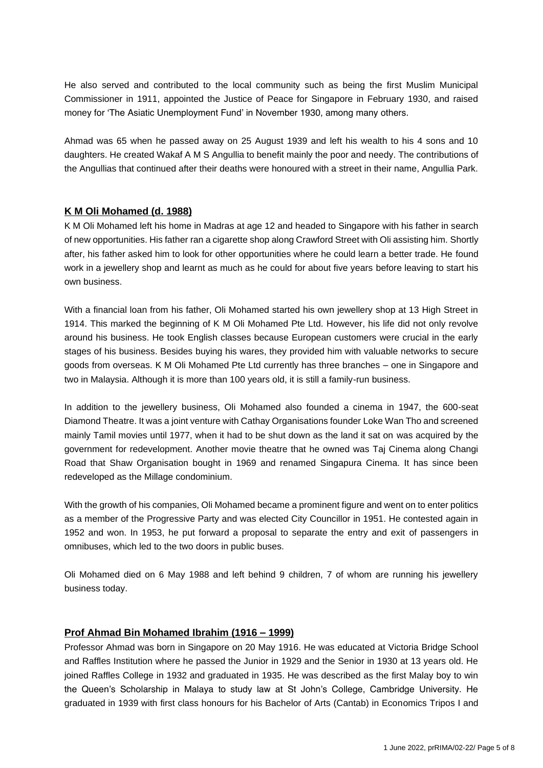He also served and contributed to the local community such as being the first Muslim Municipal Commissioner in 1911, appointed the Justice of Peace for Singapore in February 1930, and raised money for 'The Asiatic Unemployment Fund' in November 1930, among many others.

Ahmad was 65 when he passed away on 25 August 1939 and left his wealth to his 4 sons and 10 daughters. He created Wakaf A M S Angullia to benefit mainly the poor and needy. The contributions of the Angullias that continued after their deaths were honoured with a street in their name, Angullia Park.

#### **K M Oli Mohamed (d. 1988)**

K M Oli Mohamed left his home in Madras at age 12 and headed to Singapore with his father in search of new opportunities. His father ran a cigarette shop along Crawford Street with Oli assisting him. Shortly after, his father asked him to look for other opportunities where he could learn a better trade. He found work in a jewellery shop and learnt as much as he could for about five years before leaving to start his own business.

With a financial loan from his father, Oli Mohamed started his own jewellery shop at 13 High Street in 1914. This marked the beginning of K M Oli Mohamed Pte Ltd. However, his life did not only revolve around his business. He took English classes because European customers were crucial in the early stages of his business. Besides buying his wares, they provided him with valuable networks to secure goods from overseas. K M Oli Mohamed Pte Ltd currently has three branches – one in Singapore and two in Malaysia. Although it is more than 100 years old, it is still a family-run business.

In addition to the jewellery business, Oli Mohamed also founded a cinema in 1947, the 600-seat Diamond Theatre. It was a joint venture with Cathay Organisations founder Loke Wan Tho and screened mainly Tamil movies until 1977, when it had to be shut down as the land it sat on was acquired by the government for redevelopment. Another movie theatre that he owned was Taj Cinema along Changi Road that Shaw Organisation bought in 1969 and renamed Singapura Cinema. It has since been redeveloped as the Millage condominium.

With the growth of his companies, Oli Mohamed became a prominent figure and went on to enter politics as a member of the Progressive Party and was elected City Councillor in 1951. He contested again in 1952 and won. In 1953, he put forward a proposal to separate the entry and exit of passengers in omnibuses, which led to the two doors in public buses.

Oli Mohamed died on 6 May 1988 and left behind 9 children, 7 of whom are running his jewellery business today.

#### **Prof Ahmad Bin Mohamed Ibrahim (1916 – 1999)**

Professor Ahmad was born in Singapore on 20 May 1916. He was educated at Victoria Bridge School and Raffles Institution where he passed the Junior in 1929 and the Senior in 1930 at 13 years old. He joined Raffles College in 1932 and graduated in 1935. He was described as the first Malay boy to win the Queen's Scholarship in Malaya to study law at St John's College, Cambridge University. He graduated in 1939 with first class honours for his Bachelor of Arts (Cantab) in Economics Tripos I and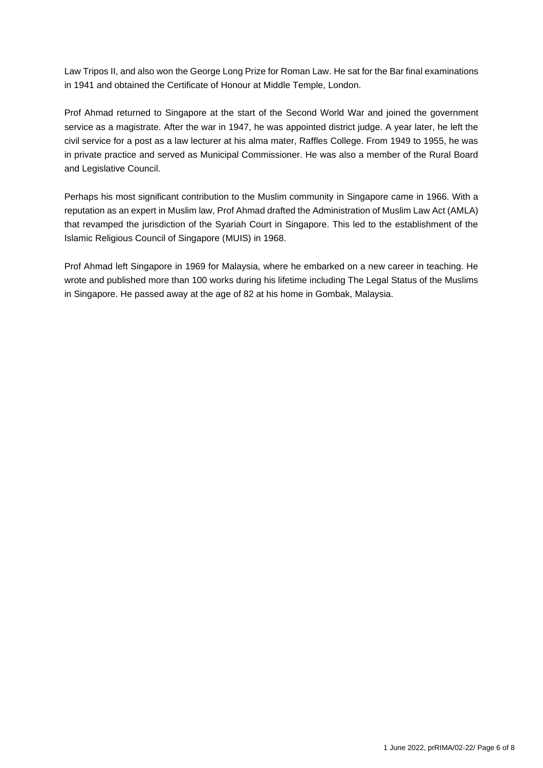Law Tripos II, and also won the George Long Prize for Roman Law. He sat for the Bar final examinations in 1941 and obtained the Certificate of Honour at Middle Temple, London.

Prof Ahmad returned to Singapore at the start of the Second World War and joined the government service as a magistrate. After the war in 1947, he was appointed district judge. A year later, he left the civil service for a post as a law lecturer at his alma mater, Raffles College. From 1949 to 1955, he was in private practice and served as Municipal Commissioner. He was also a member of the Rural Board and Legislative Council.

Perhaps his most significant contribution to the Muslim community in Singapore came in 1966. With a reputation as an expert in Muslim law, Prof Ahmad drafted the Administration of Muslim Law Act (AMLA) that revamped the jurisdiction of the Syariah Court in Singapore. This led to the establishment of the Islamic Religious Council of Singapore (MUIS) in 1968.

Prof Ahmad left Singapore in 1969 for Malaysia, where he embarked on a new career in teaching. He wrote and published more than 100 works during his lifetime including The Legal Status of the Muslims in Singapore. He passed away at the age of 82 at his home in Gombak, Malaysia.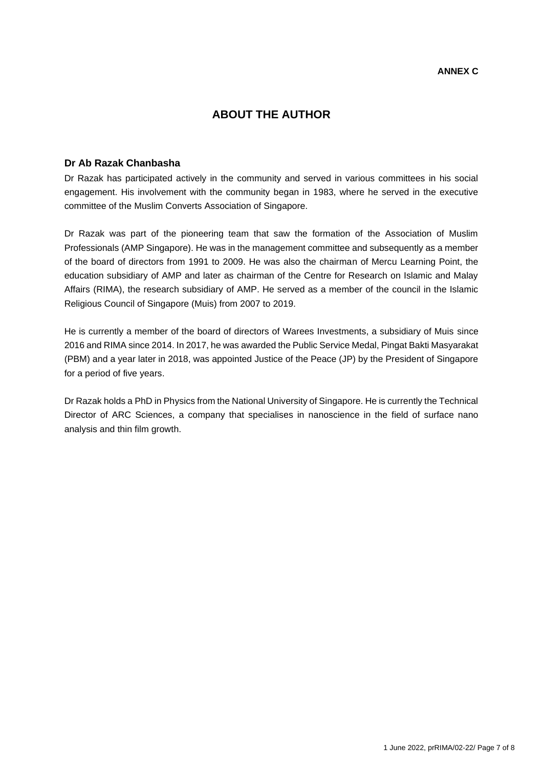### **ABOUT THE AUTHOR**

#### **Dr Ab Razak Chanbasha**

Dr Razak has participated actively in the community and served in various committees in his social engagement. His involvement with the community began in 1983, where he served in the executive committee of the Muslim Converts Association of Singapore.

Dr Razak was part of the pioneering team that saw the formation of the Association of Muslim Professionals (AMP Singapore). He was in the management committee and subsequently as a member of the board of directors from 1991 to 2009. He was also the chairman of Mercu Learning Point, the education subsidiary of AMP and later as chairman of the Centre for Research on Islamic and Malay Affairs (RIMA), the research subsidiary of AMP. He served as a member of the council in the Islamic Religious Council of Singapore (Muis) from 2007 to 2019.

He is currently a member of the board of directors of Warees Investments, a subsidiary of Muis since 2016 and RIMA since 2014. In 2017, he was awarded the Public Service Medal, Pingat Bakti Masyarakat (PBM) and a year later in 2018, was appointed Justice of the Peace (JP) by the President of Singapore for a period of five years.

Dr Razak holds a PhD in Physics from the National University of Singapore. He is currently the Technical Director of ARC Sciences, a company that specialises in nanoscience in the field of surface nano analysis and thin film growth.